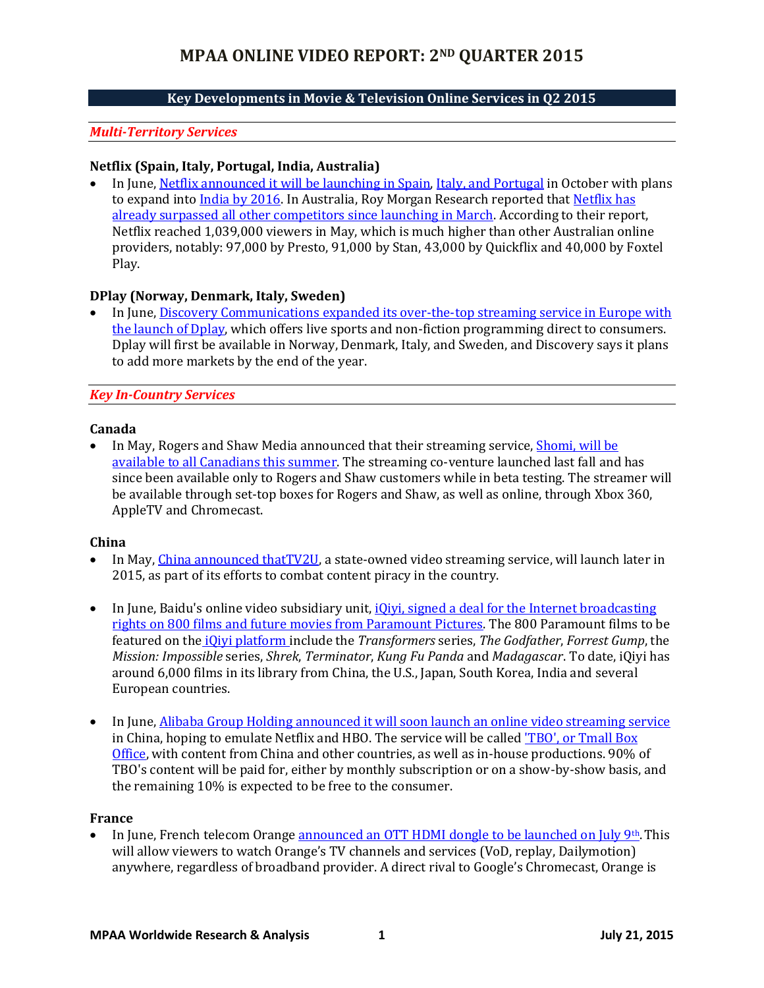# **Key Developments in Movie & Television Online Services in Q2 2015**

## *Multi-Territory Services*

#### **Netflix (Spain, Italy, Portugal, India, Australia)**

 In June, [Netflix announced it will be launching in Spain,](http://www.hollywoodreporter.com/news/netflix-launch-spain-october-800041) [Italy, and Portugal](http://www.hollywoodreporter.com/news/netflix-launch-streaming-service-italy-800507) in October with plans to expand into [India by 2016.](http://www.hollywoodreporter.com/news/netflix-launch-india-by-2016-805032) In Australia, Roy Morgan Research reported that Netflix has [already surpassed all other competitors since launching in March.](http://www.thefastmode.com/mobile-data-services-trends/5232-netflix-takes-over-in-australia-as-svod-emerges-as-new-battleground-for-digital-content-market) According to their report, Netflix reached 1,039,000 viewers in May, which is much higher than other Australian online providers, notably: 97,000 by Presto, 91,000 by Stan, 43,000 by Quickflix and 40,000 by Foxtel Play.

## **DPlay (Norway, Denmark, Italy, Sweden)**

 In June, [Discovery Communications expanded its over-the-top streaming service](http://www.broadcastingcable.com/news/technology/discovery-launches-streaming-service-across-europe/141458) in Europe with [the launch of Dplay,](http://www.broadcastingcable.com/news/technology/discovery-launches-streaming-service-across-europe/141458) which offers live sports and non-fiction programming direct to consumers. Dplay will first be available in Norway, Denmark, Italy, and Sweden, and Discovery says it plans to add more markets by the end of the year.

#### *Key In-Country Services*

#### **Canada**

In May, Rogers and Shaw Media announced that their streaming service, Shomi, will be [available to all Canadians this summer.](http://streamdaily.tv/2015/05/28/shomi-goes-out-of-beta-and-into-ott/) The streaming co-venture launched last fall and has since been available only to Rogers and Shaw customers while in beta testing. The streamer will be available through set-top boxes for Rogers and Shaw, as well as online, through Xbox 360, AppleTV and Chromecast.

#### **China**

- In May[, China announced thatTV2U,](http://www.telecomasia.net/content/china-launch-state-run-streaming-service?section=TOPSTORIES) a state-owned video streaming service, will launch later in 2015, as part of its efforts to combat content piracy in the country.
- In June, Baidu's online video subsidiary unit, *iQiyi*, signed a deal for the Internet broadcasting [rights on 800 films and future movies from](http://www.hollywoodreporter.com/news/chinas-iqiyi-buys-online-broadcast-806700) Paramount Pictures. The 800 Paramount films to be featured on the [iQiyi platform i](http://goo.gl/62jcqD)nclude the *Transformers* series, *The Godfather*, *Forrest Gump*, the *Mission: Impossible* series, *Shrek*, *Terminator*, *Kung Fu Panda* and *Madagascar*. To date, iQiyi has around 6,000 films in its library from China, the U.S., Japan, South Korea, India and several European countries.
- In June, Alibaba Group Holding announced it will soon [launch an online video streaming service](http://www.reuters.com/article/2015/06/14/us-alibaba-video-idUSKBN0OU0OT20150614) in China, hoping to emulate Netflix and HBO. The service will be calle[d 'TBO', or Tmall Box](http://www.bloomberg.com/news/articles/2015-06-14/alibaba-group-plans-to-create-china-s-version-of-netflix-hbo)  [Office,](http://www.bloomberg.com/news/articles/2015-06-14/alibaba-group-plans-to-create-china-s-version-of-netflix-hbo) with content from China and other countries, as well as in-house productions. 90% of TBO's content will be paid for, either by monthly subscription or on a show-by-show basis, and the remaining 10% is expected to be free to the consumer.

#### **France**

In June, French telecom Orange [announced an OTT HDMI dongle to be launched on July 9](http://advanced-television.com/2015/06/30/france-orange-ott-dongle-in-july/)th. This will allow viewers to watch Orange's TV channels and services (VoD, replay, Dailymotion) anywhere, regardless of broadband provider. A direct rival to Google's Chromecast, Orange is